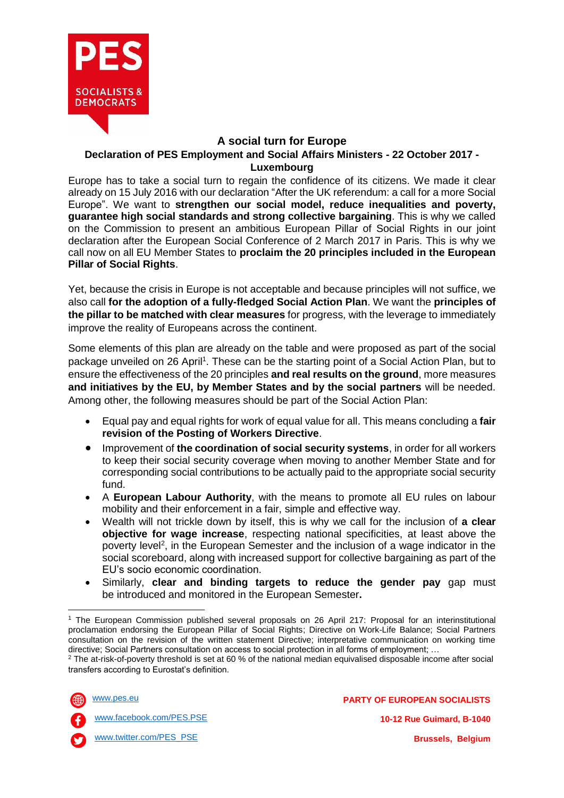

## **A social turn for Europe**

## **Declaration of PES Employment and Social Affairs Ministers - 22 October 2017 - Luxembourg**

Europe has to take a social turn to regain the confidence of its citizens. We made it clear already on 15 July 2016 with our declaration "After the UK referendum: a call for a more Social Europe". We want to **strengthen our social model, reduce inequalities and poverty, guarantee high social standards and strong collective bargaining**. This is why we called on the Commission to present an ambitious European Pillar of Social Rights in our joint declaration after the European Social Conference of 2 March 2017 in Paris. This is why we call now on all EU Member States to **proclaim the 20 principles included in the European Pillar of Social Rights**.

Yet, because the crisis in Europe is not acceptable and because principles will not suffice, we also call **for the adoption of a fully-fledged Social Action Plan**. We want the **principles of the pillar to be matched with clear measures** for progress, with the leverage to immediately improve the reality of Europeans across the continent.

Some elements of this plan are already on the table and were proposed as part of the social package unveiled on 26 April<sup>1</sup>. These can be the starting point of a Social Action Plan, but to ensure the effectiveness of the 20 principles **and real results on the ground**, more measures **and initiatives by the EU, by Member States and by the social partners** will be needed. Among other, the following measures should be part of the Social Action Plan:

- Equal pay and equal rights for work of equal value for all. This means concluding a **fair revision of the Posting of Workers Directive**.
- Improvement of **the coordination of social security systems**, in order for all workers to keep their social security coverage when moving to another Member State and for corresponding social contributions to be actually paid to the appropriate social security fund.
- A **European Labour Authority**, with the means to promote all EU rules on labour mobility and their enforcement in a fair, simple and effective way.
- Wealth will not trickle down by itself, this is why we call for the inclusion of **a clear objective for wage increase**, respecting national specificities, at least above the poverty level<sup>2</sup>, in the European Semester and the inclusion of a wage indicator in the social scoreboard, along with increased support for collective bargaining as part of the EU's socio economic coordination.
- Similarly, **clear and binding targets to reduce the gender pay** gap must be introduced and monitored in the European Semester**.**

<sup>2</sup> The at-risk-of-poverty threshold is set at 60 % of the national median equivalised disposable income after social transfers according to Eurostat's definition.





[www.facebook.com/PES.PSE](http://www.facebook.com/PES.PSE)

**PARTY OF EUROPEAN SOCIALISTS 10-12 Rue Guimard, B-1040 Brussels, Belgium**

**<sup>.</sup>** <sup>1</sup> The European Commission published several proposals on 26 April 217: Proposal for an interinstitutional proclamation endorsing the European Pillar of Social Rights; Directive on Work-Life Balance; Social Partners consultation on the revision of the written statement Directive; interpretative communication on working time directive; Social Partners consultation on access to social protection in all forms of employment; …